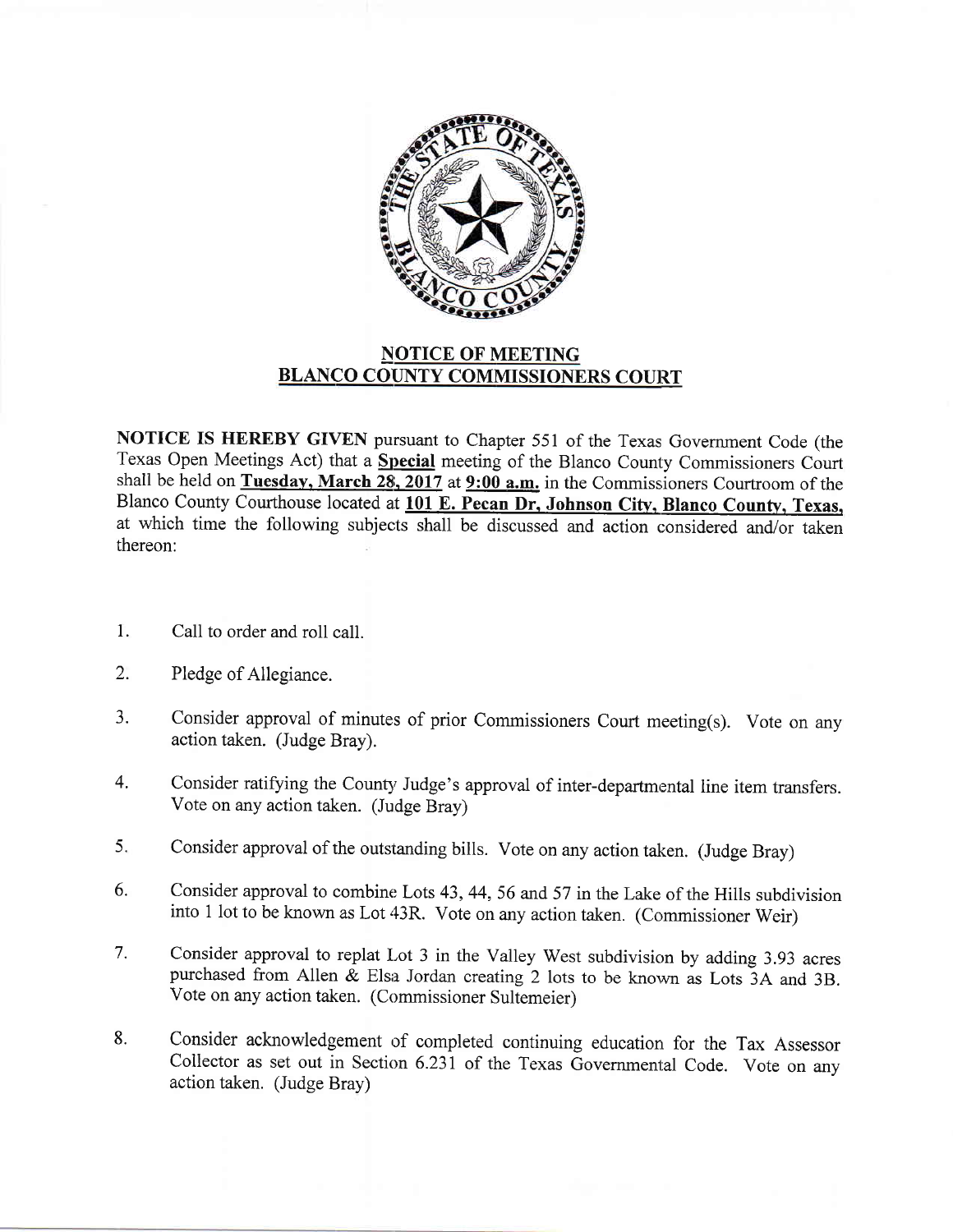

## NOTICE OF MEETING BLANCO COUNTY COMMISSIONERS COURT

NOTICE IS HEREBY GIVEN pursuant to Chapter 551 of the Texas Government Code (the Texas Open Meetings Act) that a \$pecial meeting of the Blanco County Commissioners Court shall be held on Tuesday, March  $28$ ,  $2017$  at  $9:00$  a.m. in the Commissioners Courtroom of the Blanco County Courthouse located at 101 E. Pecan Dr. Johnson City, Blanco County, Texas. at which time the following subjects shall be discussed and action considered and/or taken thereon:

- Call to order and roll call. 1
- Pledge of Allegiance. 2.
- Consider approval of minutes of prior Commissioners Court meeting(s). Vote on any action taken. (Judge Bray). 3.
- Consider ratifying the County Judge's approval of inter-departmental line item transfers. Vote on any action taken. (Judge Bray) 4.
- Consider approval of the outstanding bills. Vote on any action taken. (Judge Bray) 5.
- Consider approval to combine Lots 43,44,56 and 57 in the Lake of the Hills subdivision into 1 lot to be known as Lot 43R. Vote on any action taken. (Commissioner Weir) 6.
- Consider approval to replat Lot 3 in the Valley West subdivision by adding 3.93 acres purchased from Allen  $\&$  Elsa Jordan creating 2 lots to be known as Lots 3A and 3B. Vote on any action taken. (Commissioner Sultemeier) 7.
- Consider acknowledgement of completed continuing education for the Tax Assessor Collector as set out in Section 6.23I of the Texas Governmental Code. Vote on any action taken. (Judge Bray) 8.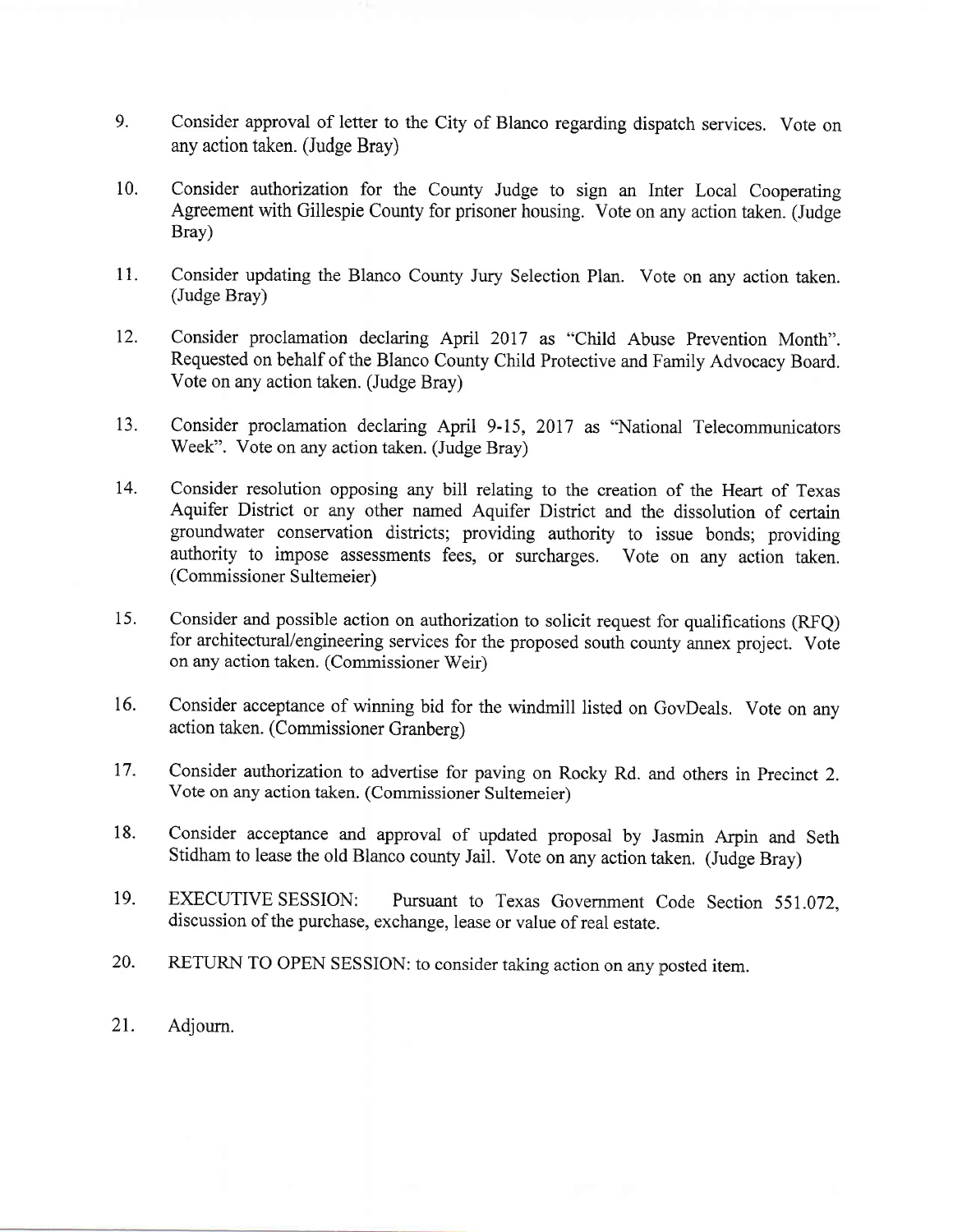- 9. Consider approval of letter to the City of Blanco regarding dispatch services. Vote on any action taken. (Judge Bray)
- 10. Consider authorization for the County Judge to sign an Inter Local Cooperating Agreement with Gillespie County for prisoner housing. Vote on any action taken. (Judge Bray)
- 11. Consider updating the Blanco County Jury Selection Plan. Vote on any action taken. (Judge Bray)
- 12. Consider proclamation declaring April 2017 as "Child Abuse Prevention Month". Requested on behalf of the Blanco County Child Protective and Family Advocacy Board. Vote on any action taken. (Judge Bray)
- 13. Consider proclamation declaring April 9-I5, 2017 as "National Telecommunicators Week". Vote on any action taken. (Judge Bray)
- 14. Consider resolution opposing any bill relating to the creation of the Heart of Texas Aquifer District or any other named Aquifer District and the dissolution of certain groundwater conservation districts; providing authority to issue bonds; providing authority to impose assessments fees, or surcharges. Vote on any action taken. (Commissioner Sultemeier)
- 15. Consider and possible action on authorization to solicit request for qualifications (RFQ) for architectural/engineering services for the proposed south county annex project. Vote on any action taken. (Commissioner Weir)
- 16. Consider acceptance of winning bid for the windmill listed on GovDeals. Vote on any action taken. (Commissioner Granberg)
- 17. Consider authorization to advertise for paving on Rocky Rd. and others in Precinct 2. Vote on any action taken. (Commissioner Sultemeier)
- 18. Consider acceptance and approval of updated proposal by Jasmin Arpin and Seth Stidham to lease the old Blanco county Jail. Vote on any action taken. (Judge Bray)
- 19. EXECUTIVE SESSION: Pursuant to Texas Government Code Section 55I.072. discussion of the purchase, exchange, lease or value of real estate.
- 20. RETURN To OPEN SESSIoN: to consider taking action on any posted item.
- 21. Adioum.